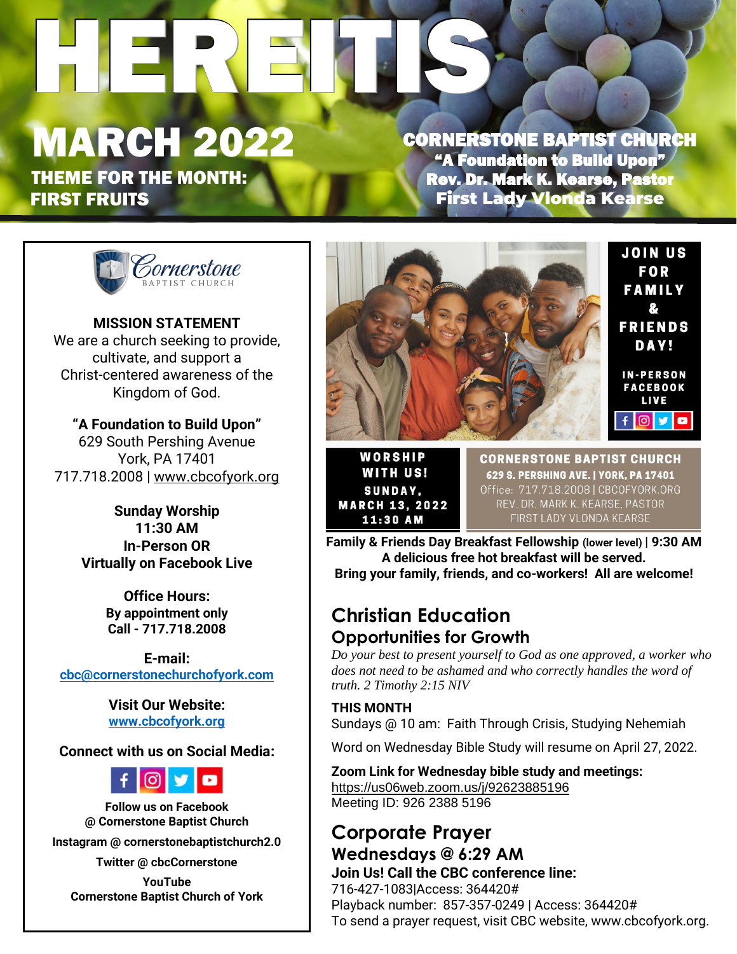# HEREITIS

# MARCH 2022

THEME FOR THE MONTH: FIRST FRUITS

CORNERSTONE BAPTIST CHURCH "A Foundation to Build Upon" Rev. Dr. Mark K. Kearse, Pastor First Lady Vlonda Kearse



**MISSION STATEMENT** We are a church seeking to provide, cultivate, and support a Christ-centered awareness of the Kingdom of God.

**"A Foundation to Build Upon"** 629 South Pershing Avenue York, PA 17401 717.718.2008 | www.cbcofyork.org

> **Sunday Worship 11:30 AM In-Person OR Virtually on Facebook Live**

> > **Office Hours: By appointment only Call - 717.718.2008**

**E-mail: cbc@cornerstonechurchofyork.com**

> **Visit Our Website: www.cbcofyork.org**

#### **Connect with us on Social Media:**



**Follow us on Facebook @ Cornerstone Baptist Church**

**Instagram @ cornerstonebaptistchurch2.0**

**Twitter @ cbcCornerstone YouTube** 

**Cornerstone Baptist Church of York**



WORSHIP **WITH US! SUNDAY, MARCH 13, 2022** 11:30 AM

**CORNERSTONE BAPTIST CHURCH** 629 S. PERSHING AVE. | YORK, PA 17401 Office: 717.718.2008 | CBCOFYORK.ORG REV. DR. MARK K. KEARSE, PASTOR FIRST LADY VLONDA KEARSE

 **Family & Friends Day Breakfast Fellowship (lower level) | 9:30 AM A delicious free hot breakfast will be served. Bring your family, friends, and co-workers! All are welcome!**

# **Christian Education Opportunities for Growth**

*do your best to present yourself to God as one approved, a worker w*<br>does not need to be ashamed and who correctly handles the word of *Do your best to present yourself to God as one approved, a worker who truth. 2 Timothy 2:15 NIV*

 Sundays @ 10 am: Faith Through Crisis, Studying Nehemiah **THIS MONTH**

Word on Wednesday Bible Study will resume on April 27, 2022.

h **Zoom Link for Wednesday bible study and meetings:** https://us06web.zoom.us/j/92623885196 Meeting ID: 926 2388 5196

#### **Corporate Prayer Wednesdays @ 6:29 AM Join Us! Call the CBC conference line:**

716-427-1083|Access: 364420# Playback number: 857-357-0249 | Access: 364420# To send a prayer request, visit CBC website, www.cbcofyork.org.